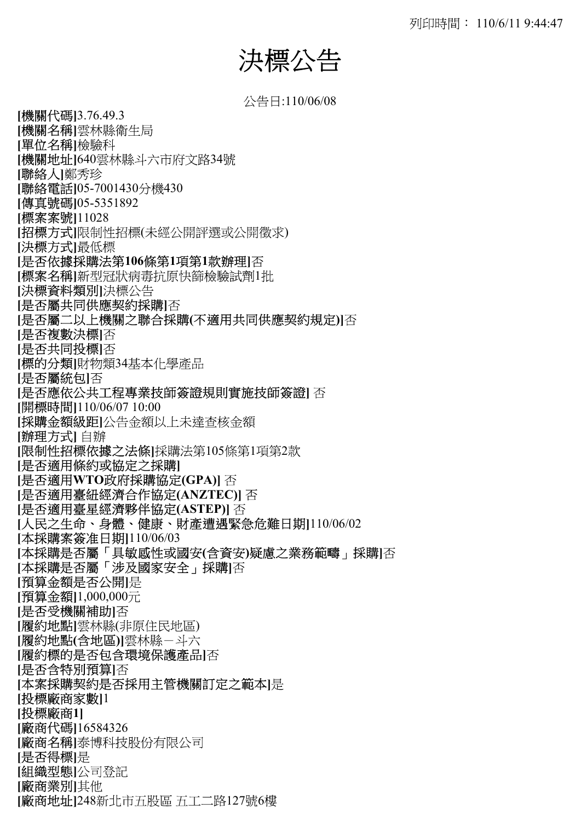決標公告

公告日:110/06/08

**[ ]**3.76.49.3 **[ ] [ ] [機關地址]640雲林縣斗六市府文路34 [ ] [聯絡電話]05-7001430分機430 [ ]**05-5351892 **[ ]**11028 [招標方式]限制性招標(未經公開評選或公開徵求) **[ ]** [是否依據採購法第106條第1項第1款辦理] **[標案名稱]**新型冠狀病毒抗原快篩檢驗試劑1 **[ ]** [是否屬共同供應契約採購] [是否屬二以上機關之聯合採購(不適用共同供應契約規定)] **[ ] [ ] [ ]** 34 **[ ]** [是否應依公共工程專業技師簽證規則實施技師簽證] **[ ]**110/06/07 10:00 **[ ] [ ] [限制性招標依據之法條]**採購法第105條第1項第2 **[ ] [是否適用WTO政府採購協定(GPA)]** 否 [是否適用臺紐經濟合作協定(ANZTEC)] 否 [是否適用臺星經濟夥伴協定(ASTEP)] 否 **[ ]**110/06/02 **[ ]**110/06/03 **[ ( ) ] [ ] [ ] [ ]**1,000,000 **[ ]** [履約地點]雲林縣(非原住民地區) [履約地點(含地區)] [履約標的是否包含環境保護產品] **[ ] [ ] [ ]** 1 **[ 1] [ ]**16584326 [廠商名稱]泰博科技股份有限公司 **[是否得標]**是 **[組織型態]**公司登記 **[廠商業別]**其他 **[廠商地址]**248新北市五股區 五工二路127號6